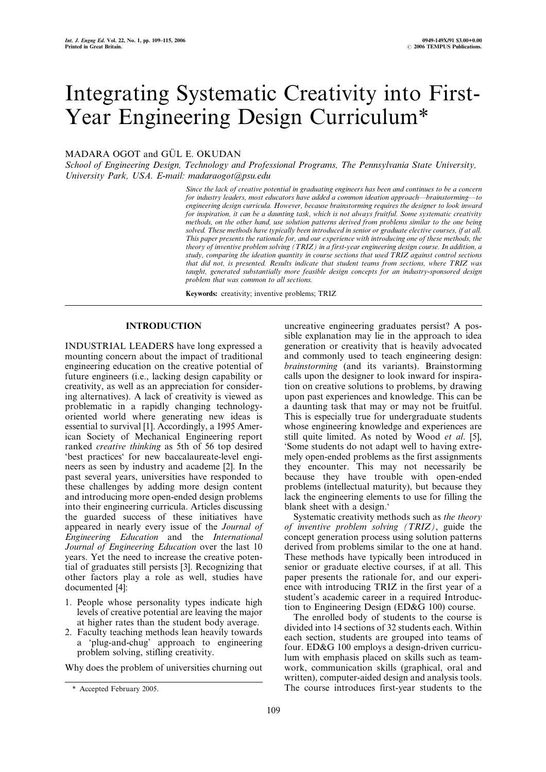# Integrating Systematic Creativity into First-Year Engineering Design Curriculum\*

## MADARA OGOT and GÜL E. OKUDAN

School of Engineering Design, Technology and Professional Programs, The Pennsylvania State University, University Park, USA. E-mail: madaraogot@psu.edu

> Since the lack of creative potential in graduating engineers has been and continues to be a concern for industry leaders, most educators have added a common ideation approach—brainstorming—to engineering design curricula. However, because brainstorming requires the designer to look inward for inspiration, it can be a daunting task, which is not always fruitful. Some systematic creativity methods, on the other hand, use solution patterns derived from problems similar to the one being solved. These methods have typically been introduced in senior or graduate elective courses, if at all. This paper presents the rationale for, and our experience with introducing one of these methods, the theory of inventive problem solving (TRIZ) in a first-year engineering design course. In addition, a study, comparing the ideation quantity in course sections that used TRIZ against control sections that did not, is presented. Results indicate that student teams from sections, where TRIZ was taught, generated substantially more feasible design concepts for an industry-sponsored design problem that was common to all sections.

Keywords: creativity; inventive problems; TRIZ

### INTRODUCTION

INDUSTRIAL LEADERS have long expressed a mounting concern about the impact of traditional engineering education on the creative potential of future engineers (i.e., lacking design capability or creativity, as well as an appreciation for considering alternatives). A lack of creativity is viewed as problematic in a rapidly changing technologyoriented world where generating new ideas is essential to survival [1]. Accordingly, a 1995 American Society of Mechanical Engineering report ranked creative thinking as 5th of 56 top desired `best practices` for new baccalaureate-level engineers as seen by industry and academe [2]. In the past several years, universities have responded to these challenges by adding more design content and introducing more open-ended design problems into their engineering curricula. Articles discussing the guarded success of these initiatives have appeared in nearly every issue of the Journal of Engineering Education and the International Journal of Engineering Education over the last 10 years. Yet the need to increase the creative potential of graduates still persists [3]. Recognizing that other factors play a role as well, studies have documented [4]:

- 1. People whose personality types indicate high levels of creative potential are leaving the major at higher rates than the student body average.
- 2. Faculty teaching methods lean heavily towards a `plug-and-chug' approach to engineering problem solving, stifling creativity.

Why does the problem of universities churning out

uncreative engineering graduates persist? A possible explanation may lie in the approach to idea generation or creativity that is heavily advocated and commonly used to teach engineering design: brainstorming (and its variants). Brainstorming calls upon the designer to look inward for inspiration on creative solutions to problems, by drawing upon past experiences and knowledge. This can be a daunting task that may or may not be fruitful. This is especially true for undergraduate students whose engineering knowledge and experiences are still quite limited. As noted by Wood et al. [5], `Some students do not adapt well to having extremely open-ended problems as the first assignments they encounter. This may not necessarily be because they have trouble with open-ended problems (intellectual maturity), but because they lack the engineering elements to use for filling the blank sheet with a design.<sup>4</sup>

Systematic creativity methods such as the theory of inventive problem solving (TRIZ), guide the concept generation process using solution patterns derived from problems similar to the one at hand. These methods have typically been introduced in senior or graduate elective courses, if at all. This paper presents the rationale for, and our experience with introducing TRIZ in the first year of a student's academic career in a required Introduction to Engineering Design (ED&G 100) course.

The enrolled body of students to the course is divided into 14 sections of 32 students each. Within each section, students are grouped into teams of four. ED&G 100 employs a design-driven curriculum with emphasis placed on skills such as teamwork, communication skills (graphical, oral and written), computer-aided design and analysis tools. \* Accepted February 2005. The course introduces first-year students to the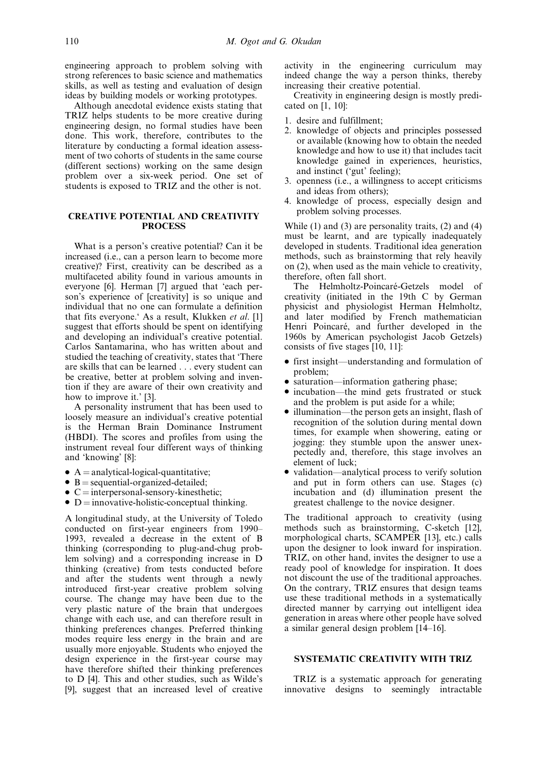engineering approach to problem solving with strong references to basic science and mathematics skills, as well as testing and evaluation of design ideas by building models or working prototypes.

Although anecdotal evidence exists stating that TRIZ helps students to be more creative during engineering design, no formal studies have been done. This work, therefore, contributes to the literature by conducting a formal ideation assessment of two cohorts of students in the same course (different sections) working on the same design problem over a six-week period. One set of students is exposed to TRIZ and the other is not.

## CREATIVE POTENTIAL AND CREATIVITY PROCESS

What is a person's creative potential? Can it be increased (i.e., can a person learn to become more creative)? First, creativity can be described as a multifaceted ability found in various amounts in everyone [6]. Herman [7] argued that 'each person's experience of [creativity] is so unique and individual that no one can formulate a definition that fits everyone. As a result, Klukken *et al.* [1] suggest that efforts should be spent on identifying and developing an individual's creative potential. Carlos Santamarina, who has written about and studied the teaching of creativity, states that `There are skills that can be learned . . . every student can be creative, better at problem solving and invention if they are aware of their own creativity and how to improve it.' [3].

A personality instrument that has been used to loosely measure an individual's creative potential is the Herman Brain Dominance Instrument (HBDI). The scores and profiles from using the instrument reveal four different ways of thinking and `knowing' [8]:

- $\bullet$  A = analytical-logical-quantitative;
- 
- B = sequential-organized-detailed;<br>• C = interpersonal-sensory-kinesthetic;
- $\bullet$  D = innovative-holistic-conceptual thinking.

A longitudinal study, at the University of Toledo conducted on first-year engineers from 1990– 1993, revealed a decrease in the extent of B thinking (corresponding to plug-and-chug problem solving) and a corresponding increase in D thinking (creative) from tests conducted before and after the students went through a newly introduced first-year creative problem solving course. The change may have been due to the very plastic nature of the brain that undergoes change with each use, and can therefore result in thinking preferences changes. Preferred thinking modes require less energy in the brain and are usually more enjoyable. Students who enjoyed the design experience in the first-year course may have therefore shifted their thinking preferences to D [4]. This and other studies, such as Wilde's [9], suggest that an increased level of creative

activity in the engineering curriculum may indeed change the way a person thinks, thereby increasing their creative potential.

Creativity in engineering design is mostly predicated on [1, 10]:

- 1. desire and fulfillment;
- 2. knowledge of objects and principles possessed or available (knowing how to obtain the needed knowledge and how to use it) that includes tacit knowledge gained in experiences, heuristics, and instinct (`gut' feeling);
- 3. openness (i.e., a willingness to accept criticisms and ideas from others);
- 4. knowledge of process, especially design and problem solving processes.

While (1) and (3) are personality traits, (2) and (4) must be learnt, and are typically inadequately developed in students. Traditional idea generation methods, such as brainstorming that rely heavily on (2), when used as the main vehicle to creativity, therefore, often fall short.

The Helmholtz-Poincaré-Getzels model of creativity (initiated in the 19th C by German physicist and physiologist Herman Helmholtz, and later modified by French mathematician Henri Poincaré, and further developed in the 1960s by American psychologist Jacob Getzels) consists of five stages [10, 11]:

- first insight—understanding and formulation of problem;
- saturation—information gathering phase;
- incubation—the mind gets frustrated or stuck and the problem is put aside for a while;
- $\bullet$  illumination—the person gets an insight, flash of recognition of the solution during mental down times, for example when showering, eating or jogging: they stumble upon the answer unexpectedly and, therefore, this stage involves an element of luck;
- validation—analytical process to verify solution and put in form others can use. Stages (c) incubation and (d) illumination present the greatest challenge to the novice designer.

The traditional approach to creativity (using methods such as brainstorming, C-sketch [12], morphological charts, SCAMPER [13], etc.) calls upon the designer to look inward for inspiration. TRIZ, on other hand, invites the designer to use a ready pool of knowledge for inspiration. It does not discount the use of the traditional approaches. On the contrary, TRIZ ensures that design teams use these traditional methods in a systematically directed manner by carrying out intelligent idea generation in areas where other people have solved a similar general design problem  $[14–16]$ .

## SYSTEMATIC CREATIVITY WITH TRIZ

TRIZ is a systematic approach for generating innovative designs to seemingly intractable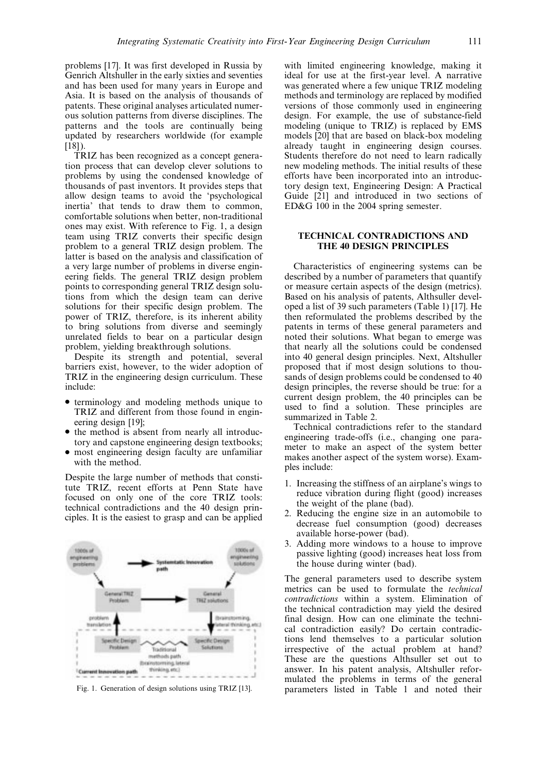problems [17]. It was first developed in Russia by Genrich Altshuller in the early sixties and seventies and has been used for many years in Europe and Asia. It is based on the analysis of thousands of patents. These original analyses articulated numerous solution patterns from diverse disciplines. The patterns and the tools are continually being updated by researchers worldwide (for example  $[18]$ ).

TRIZ has been recognized as a concept generation process that can develop clever solutions to problems by using the condensed knowledge of thousands of past inventors. It provides steps that allow design teams to avoid the `psychological inertia' that tends to draw them to common, comfortable solutions when better, non-traditional ones may exist. With reference to Fig. 1, a design team using TRIZ converts their specific design problem to a general TRIZ design problem. The latter is based on the analysis and classification of a very large number of problems in diverse engineering fields. The general TRIZ design problem points to corresponding general TRIZ design solutions from which the design team can derive solutions for their specific design problem. The power of TRIZ, therefore, is its inherent ability to bring solutions from diverse and seemingly unrelated fields to bear on a particular design problem, yielding breakthrough solutions.

Despite its strength and potential, several barriers exist, however, to the wider adoption of TRIZ in the engineering design curriculum. These include:

- . terminology and modeling methods unique to TRIZ and different from those found in engineering design [19];
- the method is absent from nearly all introductory and capstone engineering design textbooks;
- . most engineering design faculty are unfamiliar with the method.

Despite the large number of methods that constitute TRIZ, recent efforts at Penn State have focused on only one of the core TRIZ tools: technical contradictions and the 40 design principles. It is the easiest to grasp and can be applied



with limited engineering knowledge, making it ideal for use at the first-year level. A narrative was generated where a few unique TRIZ modeling methods and terminology are replaced by modified versions of those commonly used in engineering design. For example, the use of substance-field modeling (unique to TRIZ) is replaced by EMS models [20] that are based on black-box modeling already taught in engineering design courses. Students therefore do not need to learn radically new modeling methods. The initial results of these efforts have been incorporated into an introductory design text, Engineering Design: A Practical Guide [21] and introduced in two sections of ED&G 100 in the 2004 spring semester.

#### TECHNICAL CONTRADICTIONS AND THE 40 DESIGN PRINCIPLES

Characteristics of engineering systems can be described by a number of parameters that quantify or measure certain aspects of the design (metrics). Based on his analysis of patents, Althsuller developed a list of 39 such parameters (Table 1) [17]. He then reformulated the problems described by the patents in terms of these general parameters and noted their solutions. What began to emerge was that nearly all the solutions could be condensed into 40 general design principles. Next, Altshuller proposed that if most design solutions to thousands of design problems could be condensed to 40 design principles, the reverse should be true: for a current design problem, the 40 principles can be used to find a solution. These principles are summarized in Table 2.

Technical contradictions refer to the standard engineering trade-offs (i.e., changing one parameter to make an aspect of the system better makes another aspect of the system worse). Examples include:

- 1. Increasing the stiffness of an airplane's wings to reduce vibration during flight (good) increases the weight of the plane (bad).
- 2. Reducing the engine size in an automobile to decrease fuel consumption (good) decreases available horse-power (bad).
- 3. Adding more windows to a house to improve passive lighting (good) increases heat loss from the house during winter (bad).

The general parameters used to describe system metrics can be used to formulate the technical contradictions within a system. Elimination of the technical contradiction may yield the desired final design. How can one eliminate the technical contradiction easily? Do certain contradictions lend themselves to a particular solution irrespective of the actual problem at hand? These are the questions Althsuller set out to answer. In his patent analysis, Altshuller reformulated the problems in terms of the general Fig. 1. Generation of design solutions using TRIZ [13]. parameters listed in Table 1 and noted their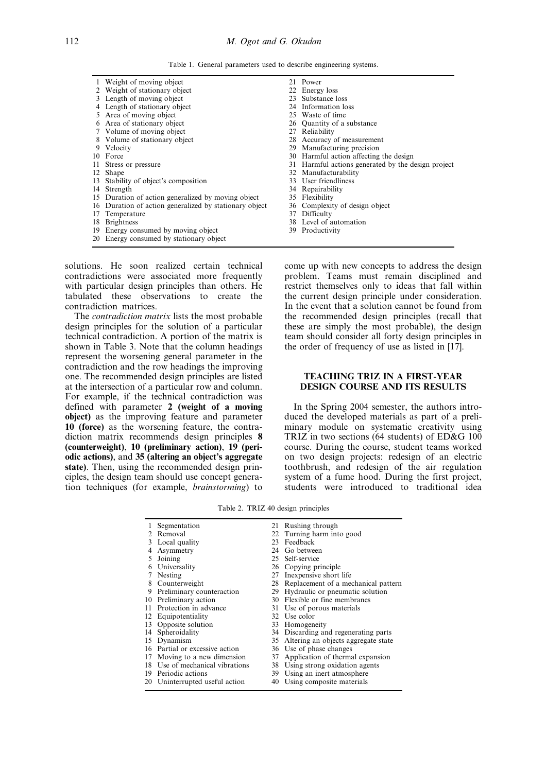Table 1. General parameters used to describe engineering systems.

|     | Weight of moving object                                |    | 21 Power                                        |
|-----|--------------------------------------------------------|----|-------------------------------------------------|
|     | 2 Weight of stationary object                          |    | 22 Energy loss                                  |
|     | 3 Length of moving object                              | 23 | Substance loss                                  |
|     | 4 Length of stationary object                          |    | 24 Information loss                             |
|     | 5 Area of moving object                                |    | 25 Waste of time                                |
|     | 6 Area of stationary object                            |    | 26 Quantity of a substance                      |
|     | 7 Volume of moving object                              |    | 27 Reliability                                  |
|     | 8 Volume of stationary object                          |    | 28 Accuracy of measurement                      |
|     | 9 Velocity                                             | 29 | Manufacturing precision                         |
|     | 10 Force                                               |    | 30 Harmful action affecting the design          |
|     | 11 Stress or pressure                                  | 31 | Harmful actions generated by the design project |
|     | 12 Shape                                               |    | 32 Manufacturability                            |
|     | 13 Stability of object's composition                   |    | 33 User friendliness                            |
|     | 14 Strength                                            |    | 34 Repairability                                |
|     | 15 Duration of action generalized by moving object     |    | 35 Flexibility                                  |
|     | 16 Duration of action generalized by stationary object | 36 | Complexity of design object                     |
| 17. | Temperature                                            | 37 | Difficulty                                      |
|     | 18 Brightness                                          | 38 | Level of automation                             |
|     | 19 Energy consumed by moving object                    |    | 39 Productivity                                 |

20 Energy consumed by stationary object

solutions. He soon realized certain technical contradictions were associated more frequently with particular design principles than others. He tabulated these observations to create the contradiction matrices.

The contradiction matrix lists the most probable design principles for the solution of a particular technical contradiction. A portion of the matrix is shown in Table 3. Note that the column headings represent the worsening general parameter in the contradiction and the row headings the improving one. The recommended design principles are listed at the intersection of a particular row and column. For example, if the technical contradiction was defined with parameter 2 (weight of a moving object) as the improving feature and parameter 10 (force) as the worsening feature, the contradiction matrix recommends design principles 8 (counterweight), 10 (preliminary action), 19 (periodic actions), and 35 (altering an object's aggregate state). Then, using the recommended design principles, the design team should use concept generation techniques (for example, brainstorming) to

come up with new concepts to address the design problem. Teams must remain disciplined and restrict themselves only to ideas that fall within the current design principle under consideration. In the event that a solution cannot be found from the recommended design principles (recall that these are simply the most probable), the design team should consider all forty design principles in the order of frequency of use as listed in [17].

## TEACHING TRIZ IN A FIRST-YEAR DESIGN COURSE AND ITS RESULTS

In the Spring 2004 semester, the authors introduced the developed materials as part of a preliminary module on systematic creativity using TRIZ in two sections (64 students) of ED&G 100 course. During the course, student teams worked on two design projects: redesign of an electric toothbrush, and redesign of the air regulation system of a fume hood. During the first project, students were introduced to traditional idea

Table 2. TRIZ 40 design principles

|    | Segmentation                    |    | 21 Rushing through                     |
|----|---------------------------------|----|----------------------------------------|
|    | Removal                         |    | 22 Turning harm into good              |
|    | Local quality                   | 23 | Feedback                               |
|    | Asymmetry                       | 24 | Go between                             |
|    | Joining                         |    | 25 Self-service                        |
|    | Universality                    |    | 26 Copying principle                   |
|    | Nesting                         |    | 27 Inexpensive short life              |
|    | 8 Counterweight                 |    | 28 Replacement of a mechanical pattern |
| 9  | Preliminary counteraction       |    | 29 Hydraulic or pneumatic solution     |
|    | 10 Preliminary action           |    | 30 Flexible or fine membranes          |
| 11 | Protection in advance           |    | 31 Use of porous materials             |
|    | 12 Equipotentiality             |    | 32 Use color                           |
| 13 | Opposite solution               |    | 33 Homogeneity                         |
| 14 | Spheroidality                   |    | 34 Discarding and regenerating parts   |
|    | 15 Dynamism                     |    | 35 Altering an objects aggregate state |
|    | 16 Partial or excessive action  |    | 36 Use of phase changes                |
| 17 | Moving to a new dimension       |    | 37 Application of thermal expansion    |
|    | 18 Use of mechanical vibrations |    | 38 Using strong oxidation agents       |
|    | 19 Periodic actions             |    | 39 Using an inert atmosphere           |
|    | 20 Uninterrupted useful action  | 40 | Using composite materials              |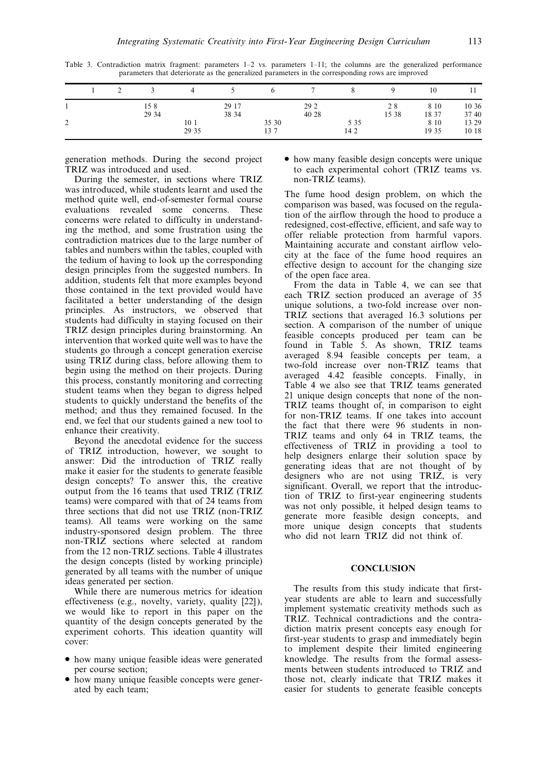Table 3. Contradiction matrix fragment: parameters  $1-2$  vs. parameters  $1-11$ ; the columns are the generalized performance parameters that deteriorate as the generalized parameters in the corresponding rows are improved

|                   |  |       | 4               |       |       |       |       |       | 10    |       |
|-------------------|--|-------|-----------------|-------|-------|-------|-------|-------|-------|-------|
|                   |  | 158   |                 | 29 17 |       | 29 2  |       | 28    | 8 10  | 10 36 |
|                   |  | 29 34 |                 | 38 34 |       | 40 28 |       | 15 38 | 18 37 | 37 40 |
| <sup>1</sup><br>∸ |  |       | 10 <sub>1</sub> |       | 35 30 |       | 5 3 5 |       | 8 10  | 13 29 |
|                   |  |       | 29 35           |       | 137   |       | 14 2  |       | 19 35 | 10 18 |

generation methods. During the second project TRIZ was introduced and used.

During the semester, in sections where TRIZ was introduced, while students learnt and used the method quite well, end-of-semester formal course evaluations revealed some concerns. These concerns were related to difficulty in understanding the method, and some frustration using the contradiction matrices due to the large number of tables and numbers within the tables, coupled with the tedium of having to look up the corresponding design principles from the suggested numbers. In addition, students felt that more examples beyond those contained in the text provided would have facilitated a better understanding of the design principles. As instructors, we observed that students had difficulty in staying focused on their TRIZ design principles during brainstorming. An intervention that worked quite well was to have the students go through a concept generation exercise using TRIZ during class, before allowing them to begin using the method on their projects. During this process, constantly monitoring and correcting student teams when they began to digress helped students to quickly understand the benefits of the method; and thus they remained focused. In the end, we feel that our students gained a new tool to enhance their creativity.

Beyond the anecdotal evidence for the success of TRIZ introduction, however, we sought to answer: Did the introduction of TRIZ really make it easier for the students to generate feasible design concepts? To answer this, the creative output from the 16 teams that used TRIZ (TRIZ teams) were compared with that of 24 teams from three sections that did not use TRIZ (non-TRIZ teams). All teams were working on the same industry-sponsored design problem. The three non-TRIZ sections where selected at random from the 12 non-TRIZ sections. Table 4 illustrates the design concepts (listed by working principle) generated by all teams with the number of unique ideas generated per section.

While there are numerous metrics for ideation effectiveness (e.g., novelty, variety, quality [22]), we would like to report in this paper on the quantity of the design concepts generated by the experiment cohorts. This ideation quantity will cover:

- . how many unique feasible ideas were generated per course section;
- . how many unique feasible concepts were generated by each team;

. how many feasible design concepts were unique to each experimental cohort (TRIZ teams vs. non-TRIZ teams).

The fume hood design problem, on which the comparison was based, was focused on the regulation of the airflow through the hood to produce a redesigned, cost-effective, efficient, and safe way to offer reliable protection from harmful vapors. Maintaining accurate and constant airflow velocity at the face of the fume hood requires an effective design to account for the changing size of the open face area.

From the data in Table 4, we can see that each TRIZ section produced an average of 35 unique solutions, a two-fold increase over non-TRIZ sections that averaged 16.3 solutions per section. A comparison of the number of unique feasible concepts produced per team can be found in Table 5. As shown, TRIZ teams averaged 8.94 feasible concepts per team, a two-fold increase over non-TRIZ teams that averaged 4.42 feasible concepts. Finally, in Table 4 we also see that TRIZ teams generated 21 unique design concepts that none of the non-TRIZ teams thought of, in comparison to eight for non-TRIZ teams. If one takes into account the fact that there were 96 students in non-TRIZ teams and only 64 in TRIZ teams, the effectiveness of TRIZ in providing a tool to help designers enlarge their solution space by generating ideas that are not thought of by designers who are not using TRIZ, is very significant. Overall, we report that the introduction of TRIZ to first-year engineering students was not only possible, it helped design teams to generate more feasible design concepts, and more unique design concepts that students who did not learn TRIZ did not think of.

#### **CONCLUSION**

The results from this study indicate that firstyear students are able to learn and successfully implement systematic creativity methods such as TRIZ. Technical contradictions and the contradiction matrix present concepts easy enough for first-year students to grasp and immediately begin to implement despite their limited engineering knowledge. The results from the formal assessments between students introduced to TRIZ and those not, clearly indicate that TRIZ makes it easier for students to generate feasible concepts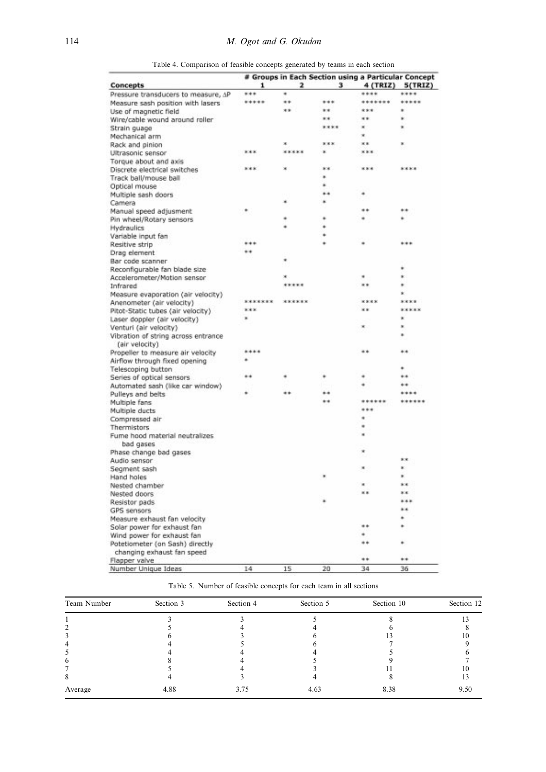|                                         | # Groups in Each Section using a Particular Concept |          |      |          |           |  |  |
|-----------------------------------------|-----------------------------------------------------|----------|------|----------|-----------|--|--|
| Concepts                                | 1                                                   | 2        | з    | 4 (TRIZ) | 5(TRIZ)   |  |  |
| Pressure transducers to measure, AP     | ***                                                 |          |      | ****     | ****      |  |  |
| Measure sash position with lasers       | *****                                               | $\cdots$ | ***  | *******  | *****     |  |  |
| Use of magnetic field                   |                                                     | **       | **   | ***      |           |  |  |
| Wire/cable wound around roller          |                                                     |          | **   | **       |           |  |  |
| Strain guage                            |                                                     |          | **** |          |           |  |  |
| Mechanical arm                          |                                                     |          |      |          |           |  |  |
| Rack and pinion                         |                                                     | ж        | ***  | **       | ×         |  |  |
| Ultrasonic sensor                       | ***                                                 | *****    |      | ***      |           |  |  |
| Torque about and axis                   |                                                     |          |      |          |           |  |  |
| Discrete electrical switches            | ***                                                 |          | 8.8  | ***      | ****      |  |  |
| Track ball/mouse ball                   |                                                     |          | ٠    |          |           |  |  |
| Optical mouse                           |                                                     |          | ٠    |          |           |  |  |
| Multiple sash doors                     |                                                     |          |      |          |           |  |  |
| Camera                                  |                                                     |          |      |          |           |  |  |
| Manual speed adjusment                  |                                                     |          |      | **       | **        |  |  |
| Pin wheel/Rotary sensors                |                                                     |          |      |          |           |  |  |
| Hydraulics                              |                                                     |          |      |          |           |  |  |
| Variable input fan                      |                                                     |          |      |          |           |  |  |
| Resitive strip                          | ***                                                 |          |      |          | ***       |  |  |
| Drag element                            |                                                     |          |      |          |           |  |  |
| Bar code scanner                        |                                                     |          |      |          |           |  |  |
| Reconfigurable fan blade size           |                                                     |          |      |          |           |  |  |
|                                         |                                                     |          |      |          |           |  |  |
| Accelerometer/Mation sensor<br>Infrared |                                                     | *****    |      | **       |           |  |  |
|                                         |                                                     |          |      |          |           |  |  |
| Measure evaporation (air velocity)      | *******                                             | ******   |      | ****     | ****      |  |  |
| Anenometer (air velocity)               | ***                                                 |          |      | **       | *****     |  |  |
| Pitot-Static tubes (air velocity)       | ٠                                                   |          |      |          | ×         |  |  |
| Laser doppler (air velocity)            |                                                     |          |      | ×        | ×         |  |  |
| Venturi (air velocity)                  |                                                     |          |      |          | ٠         |  |  |
| Vibration of string across entrance     |                                                     |          |      |          |           |  |  |
| (air velocity)                          | ****                                                |          |      | $+ 1$    |           |  |  |
| Propeller to measure air velocity       |                                                     |          |      |          | $+1$      |  |  |
| Airflow through fixed opening           |                                                     |          |      |          |           |  |  |
| Telescoping button                      |                                                     |          |      |          |           |  |  |
| Series of optical sensors               | . .                                                 |          |      |          |           |  |  |
| Automated sash (like car window)        |                                                     |          |      |          | . .       |  |  |
| Pulleys and belts                       |                                                     | **       |      |          |           |  |  |
| Multiple fans                           |                                                     |          | **   | ******   |           |  |  |
| Multiple ducts                          |                                                     |          |      | ***      |           |  |  |
| Compressed air                          |                                                     |          |      |          |           |  |  |
| Thermistors                             |                                                     |          |      |          |           |  |  |
| Fume hood material neutralizes          |                                                     |          |      |          |           |  |  |
| bad gases                               |                                                     |          |      |          |           |  |  |
| Phase change bad gases                  |                                                     |          |      |          |           |  |  |
| Audio sensor                            |                                                     |          |      |          | 88        |  |  |
| Segment sash                            |                                                     |          |      |          |           |  |  |
| Hand holes                              |                                                     |          |      |          |           |  |  |
| Nested chamber                          |                                                     |          |      | ٠        | **        |  |  |
| Nested doors                            |                                                     |          |      |          | **        |  |  |
| Resistor pads                           |                                                     |          |      |          | ***       |  |  |
| GPS sensors                             |                                                     |          |      |          | * *       |  |  |
| Measure exhaust fan velocity            |                                                     |          |      |          | ۰         |  |  |
| Solar power for exhaust fan             |                                                     |          |      | **       |           |  |  |
| Wind power for exhaust fan              |                                                     |          |      |          |           |  |  |
| Potetiometer (on Sash) directly         |                                                     |          |      | $\cdots$ | ٠         |  |  |
| changing exhaust fan speed              |                                                     |          |      |          |           |  |  |
| Flapper valve                           |                                                     |          |      | **       | $\bullet$ |  |  |
| Number Unique Ideas                     | 14                                                  | 15       | 20   | 34       | 36        |  |  |

Table 4. Comparison of feasible concepts generated by teams in each section

| Table 5. Number of feasible concepts for each team in all sections |  |
|--------------------------------------------------------------------|--|
|--------------------------------------------------------------------|--|

| Team Number | Section 3 | Section 4 | Section 5 | Section 10 | Section 12 |
|-------------|-----------|-----------|-----------|------------|------------|
|             |           |           |           |            |            |
|             |           |           |           |            |            |
|             |           |           |           |            |            |
| 4           |           |           |           |            |            |
|             |           |           |           |            |            |
| o           |           |           |           |            |            |
|             |           |           |           |            | ю          |
|             |           |           |           |            |            |
| Average     | 4.88      | 3.75      | 4.63      | 8.38       | 9.50       |